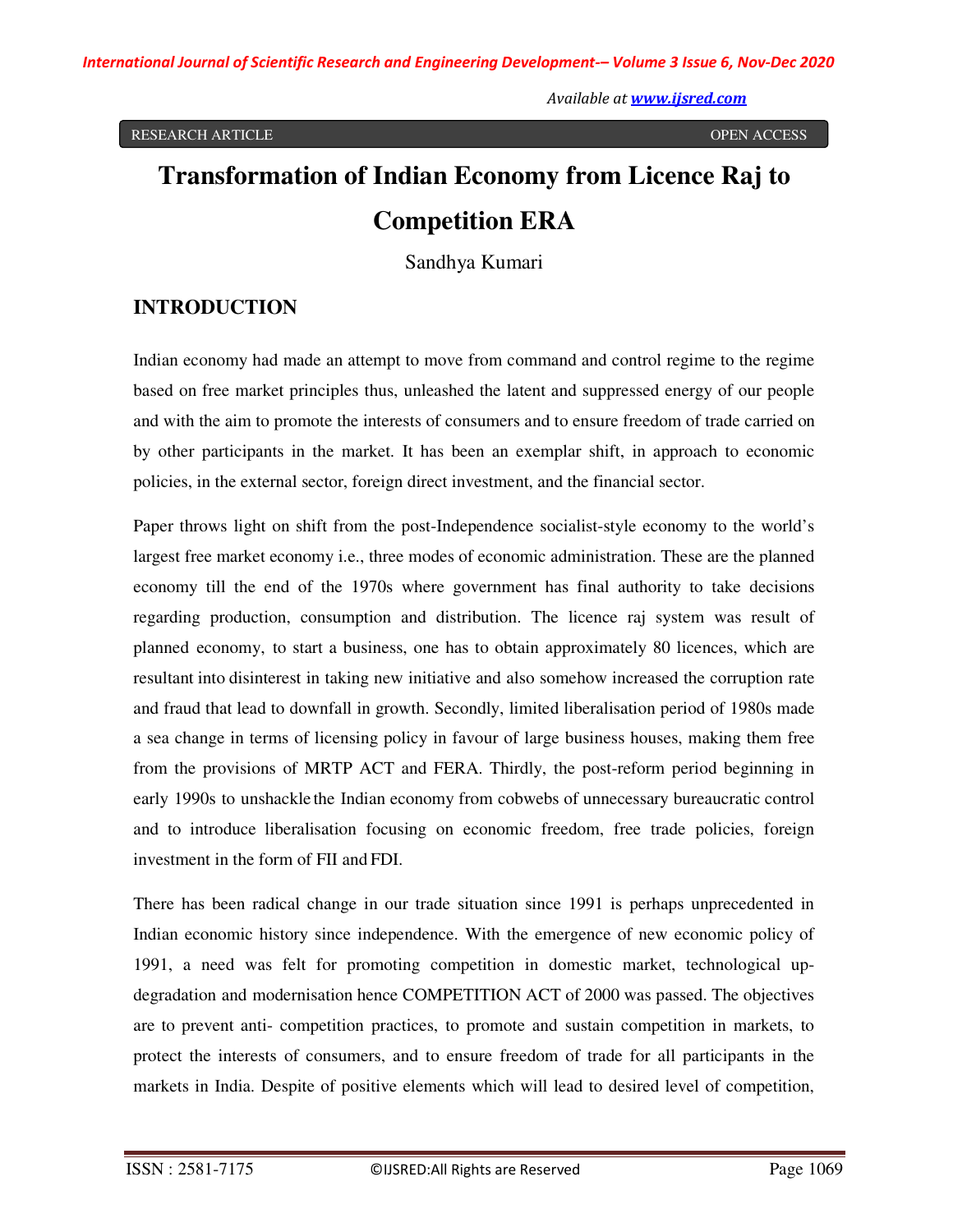# **Transformation of Indian Economy from Licence Raj to Competition ERA**

Sandhya Kumari

# **INTRODUCTION**

Indian economy had made an attempt to move from command and control regime to the regime based on free market principles thus, unleashed the latent and suppressed energy of our people and with the aim to promote the interests of consumers and to ensure freedom of trade carried on by other participants in the market. It has been an exemplar shift, in approach to economic policies, in the external sector, foreign direct investment, and the financial sector.

Paper throws light on shift from the post-Independence socialist-style economy to the world's largest free market economy i.e., three modes of economic administration. These are the planned economy till the end of the 1970s where government has final authority to take decisions regarding production, consumption and distribution. The licence raj system was result of planned economy, to start a business, one has to obtain approximately 80 licences, which are resultant into disinterest in taking new initiative and also somehow increased the corruption rate and fraud that lead to downfall in growth. Secondly, limited liberalisation period of 1980s made a sea change in terms of licensing policy in favour of large business houses, making them free from the provisions of MRTP ACT and FERA. Thirdly, the post-reform period beginning in early 1990s to unshackle the Indian economy from cobwebs of unnecessary bureaucratic control and to introduce liberalisation focusing on economic freedom, free trade policies, foreign investment in the form of FII and FDI.

There has been radical change in our trade situation since 1991 is perhaps unprecedented in Indian economic history since independence. With the emergence of new economic policy of 1991, a need was felt for promoting competition in domestic market, technological updegradation and modernisation hence COMPETITION ACT of 2000 was passed. The objectives are to prevent anti- competition practices, to promote and sustain competition in markets, to protect the interests of consumers, and to ensure freedom of trade for all participants in the markets in India. Despite of positive elements which will lead to desired level of competition,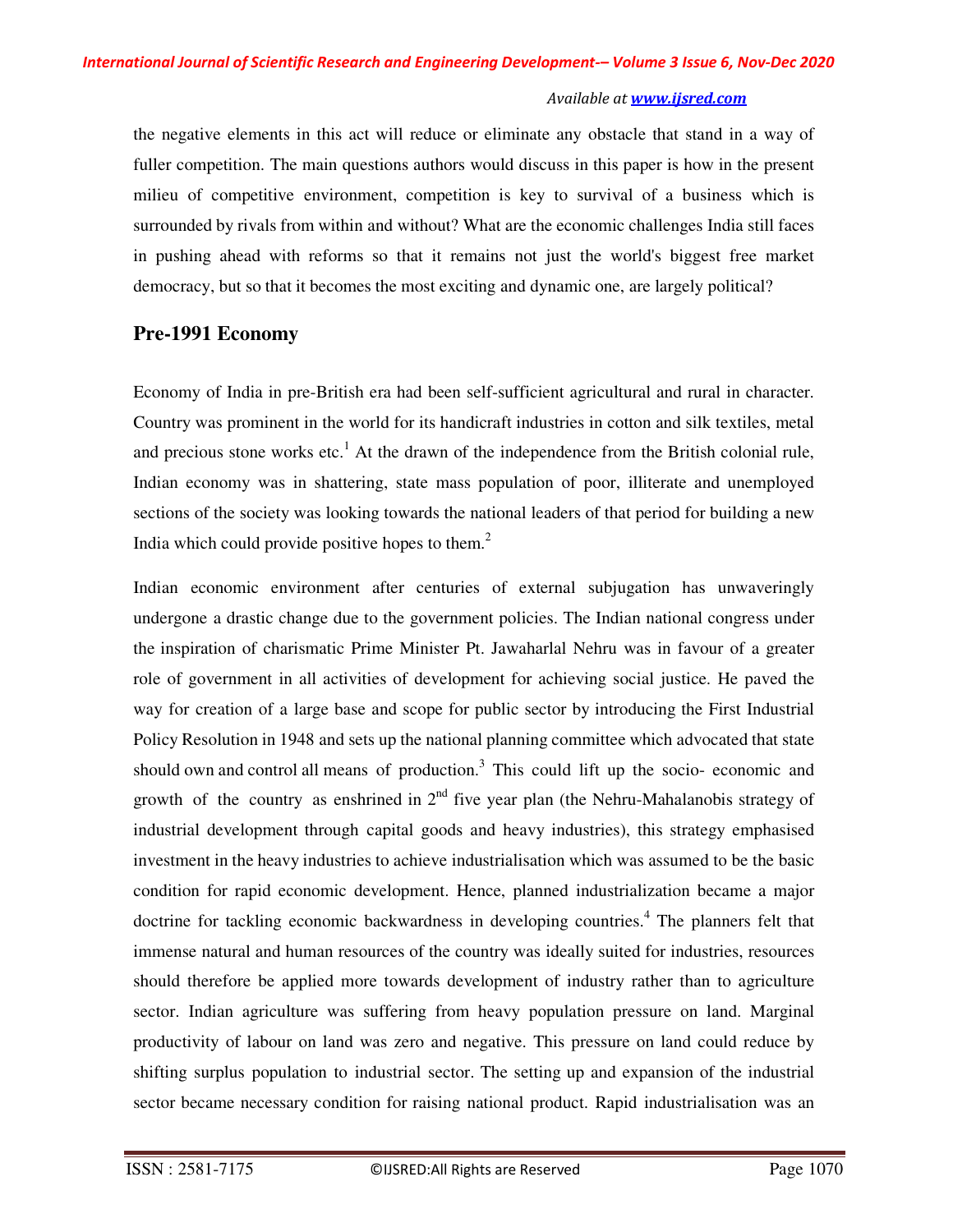the negative elements in this act will reduce or eliminate any obstacle that stand in a way of fuller competition. The main questions authors would discuss in this paper is how in the present milieu of competitive environment, competition is key to survival of a business which is surrounded by rivals from within and without? What are the economic challenges India still faces in pushing ahead with reforms so that it remains not just the world's biggest free market democracy, but so that it becomes the most exciting and dynamic one, are largely political?

## **Pre-1991 Economy**

Economy of India in pre-British era had been self-sufficient agricultural and rural in character. Country was prominent in the world for its handicraft industries in cotton and silk textiles, metal and precious stone works etc.<sup>1</sup> At the drawn of the independence from the British colonial rule, Indian economy was in shattering, state mass population of poor, illiterate and unemployed sections of the society was looking towards the national leaders of that period for building a new India which could provide positive hopes to them. $<sup>2</sup>$ </sup>

Indian economic environment after centuries of external subjugation has unwaveringly undergone a drastic change due to the government policies. The Indian national congress under the inspiration of charismatic Prime Minister Pt. Jawaharlal Nehru was in favour of a greater role of government in all activities of development for achieving social justice. He paved the way for creation of a large base and scope for public sector by introducing the First Industrial Policy Resolution in 1948 and sets up the national planning committee which advocated that state should own and control all means of production.<sup>3</sup> This could lift up the socio- economic and growth of the country as enshrined in  $2<sup>nd</sup>$  five year plan (the Nehru-Mahalanobis strategy of industrial development through capital goods and heavy industries), this strategy emphasised investment in the heavy industries to achieve industrialisation which was assumed to be the basic condition for rapid economic development. Hence, planned industrialization became a major doctrine for tackling economic backwardness in developing countries.<sup>4</sup> The planners felt that immense natural and human resources of the country was ideally suited for industries, resources should therefore be applied more towards development of industry rather than to agriculture sector. Indian agriculture was suffering from heavy population pressure on land. Marginal productivity of labour on land was zero and negative. This pressure on land could reduce by shifting surplus population to industrial sector. The setting up and expansion of the industrial sector became necessary condition for raising national product. Rapid industrialisation was an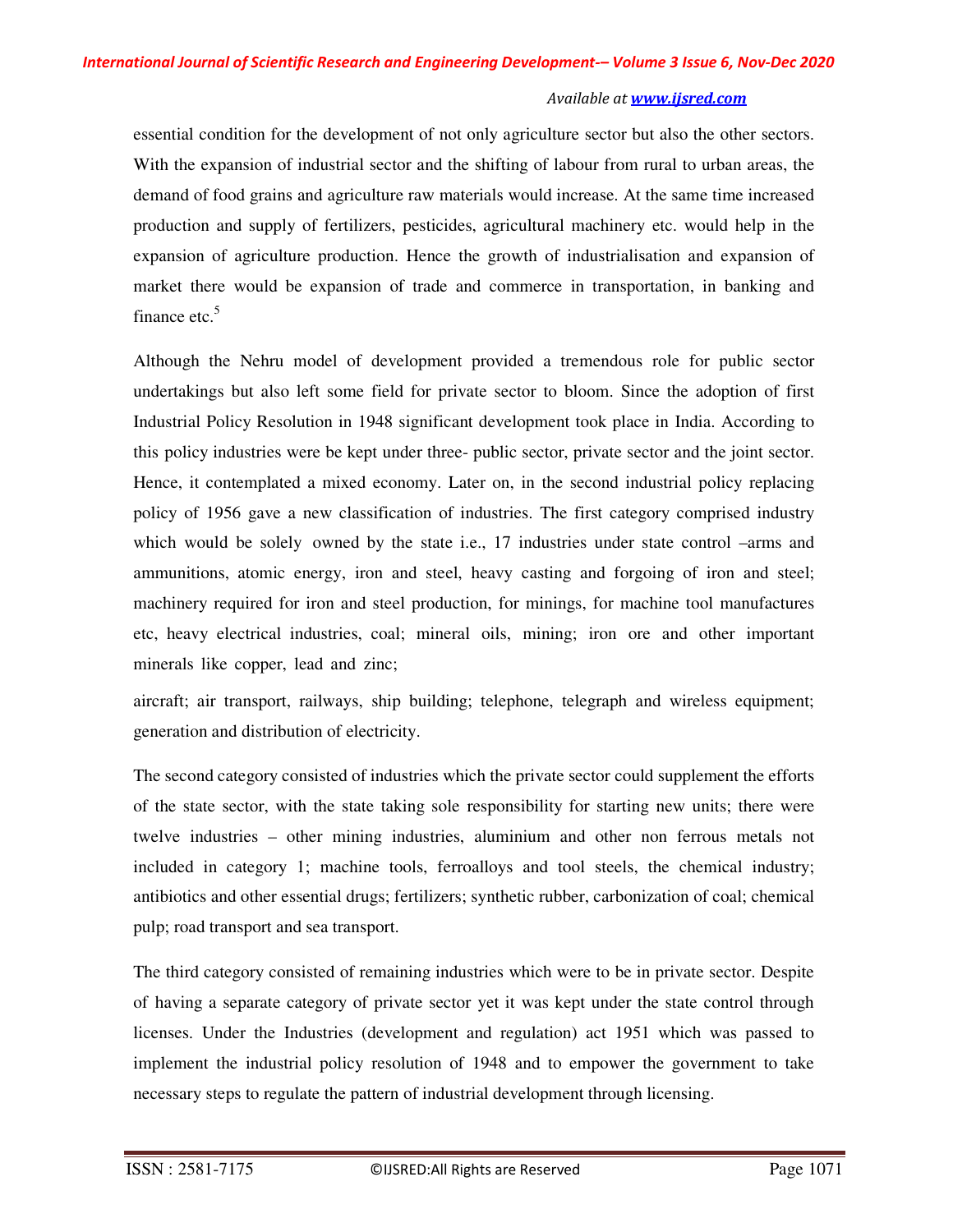essential condition for the development of not only agriculture sector but also the other sectors. With the expansion of industrial sector and the shifting of labour from rural to urban areas, the demand of food grains and agriculture raw materials would increase. At the same time increased production and supply of fertilizers, pesticides, agricultural machinery etc. would help in the expansion of agriculture production. Hence the growth of industrialisation and expansion of market there would be expansion of trade and commerce in transportation, in banking and finance etc. $5$ 

Although the Nehru model of development provided a tremendous role for public sector undertakings but also left some field for private sector to bloom. Since the adoption of first Industrial Policy Resolution in 1948 significant development took place in India. According to this policy industries were be kept under three- public sector, private sector and the joint sector. Hence, it contemplated a mixed economy. Later on, in the second industrial policy replacing policy of 1956 gave a new classification of industries. The first category comprised industry which would be solely owned by the state i.e., 17 industries under state control –arms and ammunitions, atomic energy, iron and steel, heavy casting and forgoing of iron and steel; machinery required for iron and steel production, for minings, for machine tool manufactures etc, heavy electrical industries, coal; mineral oils, mining; iron ore and other important minerals like copper, lead and zinc;

aircraft; air transport, railways, ship building; telephone, telegraph and wireless equipment; generation and distribution of electricity.

The second category consisted of industries which the private sector could supplement the efforts of the state sector, with the state taking sole responsibility for starting new units; there were twelve industries – other mining industries, aluminium and other non ferrous metals not included in category 1; machine tools, ferroalloys and tool steels, the chemical industry; antibiotics and other essential drugs; fertilizers; synthetic rubber, carbonization of coal; chemical pulp; road transport and sea transport.

The third category consisted of remaining industries which were to be in private sector. Despite of having a separate category of private sector yet it was kept under the state control through licenses. Under the Industries (development and regulation) act 1951 which was passed to implement the industrial policy resolution of 1948 and to empower the government to take necessary steps to regulate the pattern of industrial development through licensing.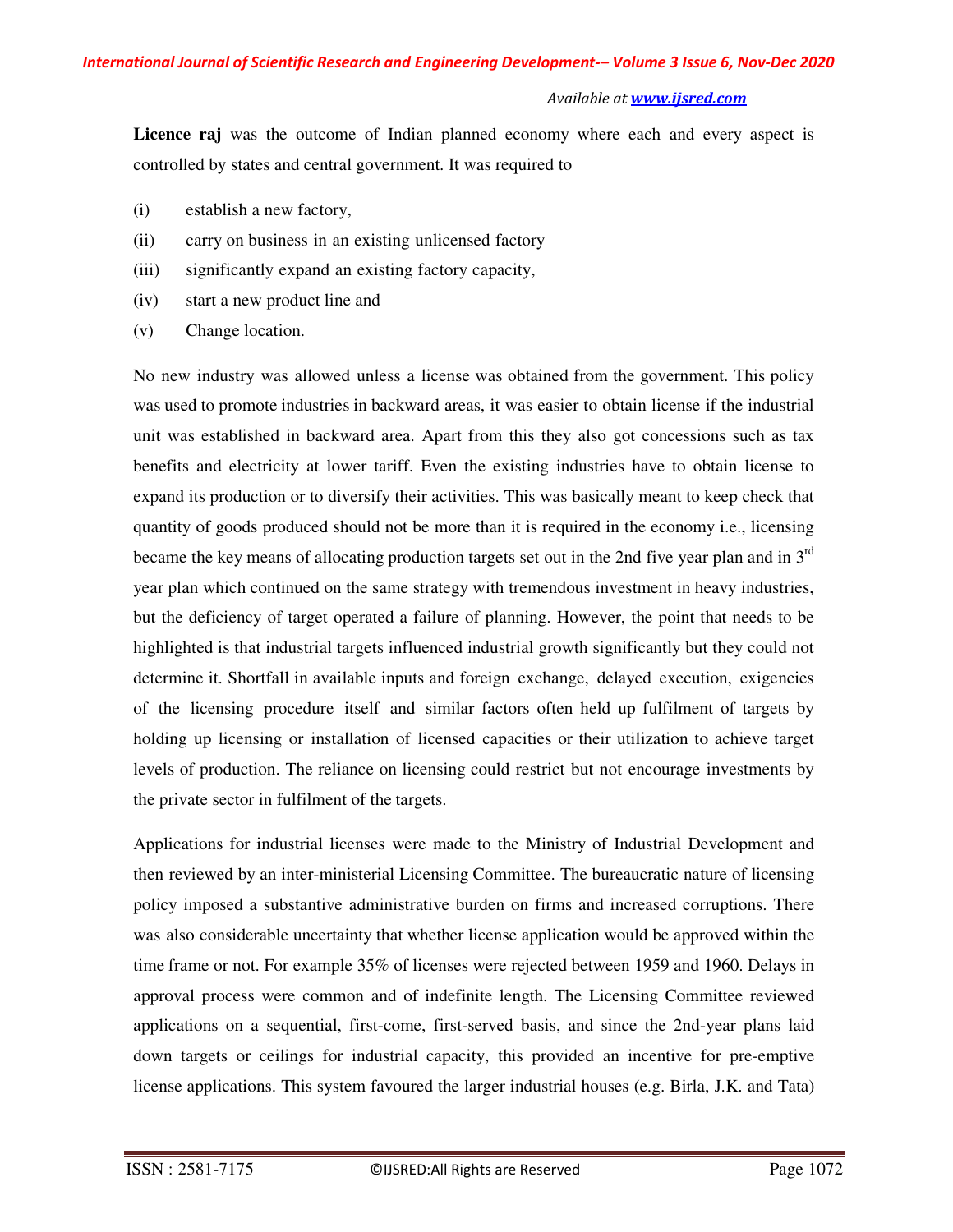Licence raj was the outcome of Indian planned economy where each and every aspect is controlled by states and central government. It was required to

- (i) establish a new factory,
- (ii) carry on business in an existing unlicensed factory
- (iii) significantly expand an existing factory capacity,
- (iv) start a new product line and
- (v) Change location.

No new industry was allowed unless a license was obtained from the government. This policy was used to promote industries in backward areas, it was easier to obtain license if the industrial unit was established in backward area. Apart from this they also got concessions such as tax benefits and electricity at lower tariff. Even the existing industries have to obtain license to expand its production or to diversify their activities. This was basically meant to keep check that quantity of goods produced should not be more than it is required in the economy i.e., licensing became the key means of allocating production targets set out in the 2nd five year plan and in  $3<sup>rd</sup>$ year plan which continued on the same strategy with tremendous investment in heavy industries, but the deficiency of target operated a failure of planning. However, the point that needs to be highlighted is that industrial targets influenced industrial growth significantly but they could not determine it. Shortfall in available inputs and foreign exchange, delayed execution, exigencies of the licensing procedure itself and similar factors often held up fulfilment of targets by holding up licensing or installation of licensed capacities or their utilization to achieve target levels of production. The reliance on licensing could restrict but not encourage investments by the private sector in fulfilment of the targets.

Applications for industrial licenses were made to the Ministry of Industrial Development and then reviewed by an inter-ministerial Licensing Committee. The bureaucratic nature of licensing policy imposed a substantive administrative burden on firms and increased corruptions. There was also considerable uncertainty that whether license application would be approved within the time frame or not. For example 35% of licenses were rejected between 1959 and 1960. Delays in approval process were common and of indefinite length. The Licensing Committee reviewed applications on a sequential, first-come, first-served basis, and since the 2nd-year plans laid down targets or ceilings for industrial capacity, this provided an incentive for pre-emptive license applications. This system favoured the larger industrial houses (e.g. Birla, J.K. and Tata)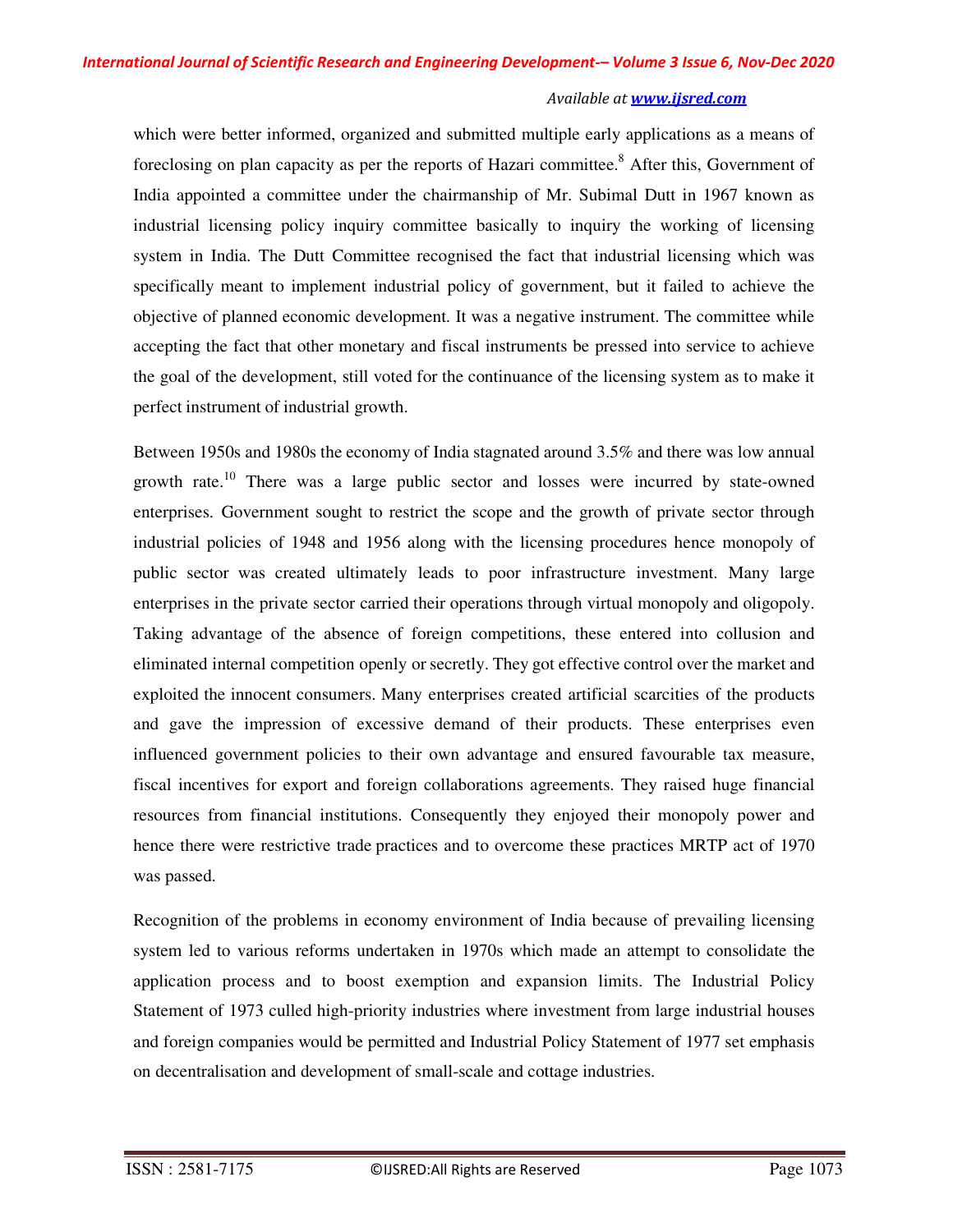which were better informed, organized and submitted multiple early applications as a means of foreclosing on plan capacity as per the reports of Hazari committee.<sup>8</sup> After this, Government of India appointed a committee under the chairmanship of Mr. Subimal Dutt in 1967 known as industrial licensing policy inquiry committee basically to inquiry the working of licensing system in India. The Dutt Committee recognised the fact that industrial licensing which was specifically meant to implement industrial policy of government, but it failed to achieve the objective of planned economic development. It was a negative instrument. The committee while accepting the fact that other monetary and fiscal instruments be pressed into service to achieve the goal of the development, still voted for the continuance of the licensing system as to make it perfect instrument of industrial growth.

Between 1950s and 1980s the economy of India stagnated around 3.5% and there was low annual growth rate.<sup>10</sup> There was a large public sector and losses were incurred by state-owned enterprises. Government sought to restrict the scope and the growth of private sector through industrial policies of 1948 and 1956 along with the licensing procedures hence monopoly of public sector was created ultimately leads to poor infrastructure investment. Many large enterprises in the private sector carried their operations through virtual monopoly and oligopoly. Taking advantage of the absence of foreign competitions, these entered into collusion and eliminated internal competition openly or secretly. They got effective control over the market and exploited the innocent consumers. Many enterprises created artificial scarcities of the products and gave the impression of excessive demand of their products. These enterprises even influenced government policies to their own advantage and ensured favourable tax measure, fiscal incentives for export and foreign collaborations agreements. They raised huge financial resources from financial institutions. Consequently they enjoyed their monopoly power and hence there were restrictive trade practices and to overcome these practices MRTP act of 1970 was passed.

Recognition of the problems in economy environment of India because of prevailing licensing system led to various reforms undertaken in 1970s which made an attempt to consolidate the application process and to boost exemption and expansion limits. The Industrial Policy Statement of 1973 culled high-priority industries where investment from large industrial houses and foreign companies would be permitted and Industrial Policy Statement of 1977 set emphasis on decentralisation and development of small-scale and cottage industries.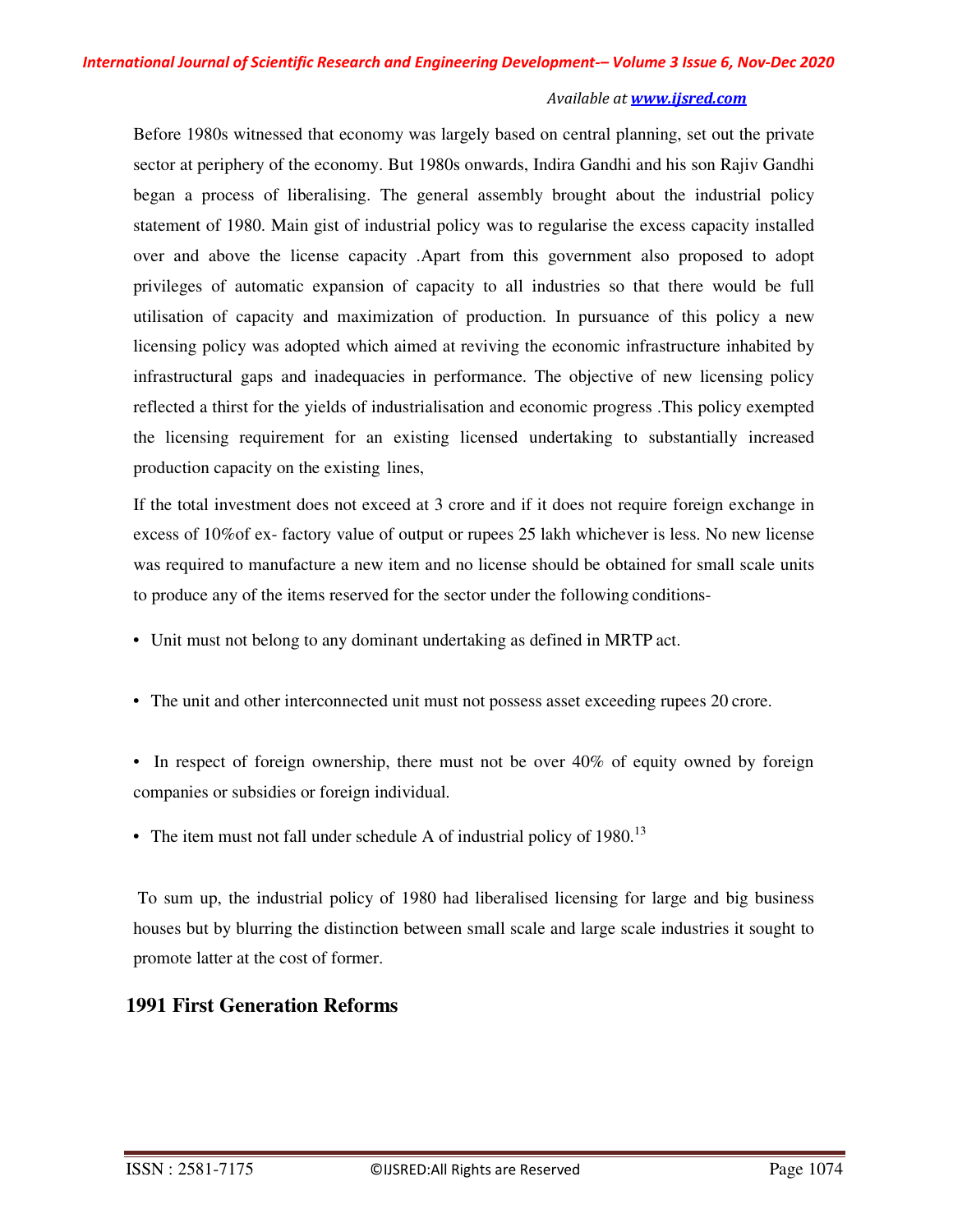Before 1980s witnessed that economy was largely based on central planning, set out the private sector at periphery of the economy. But 1980s onwards, Indira Gandhi and his son Rajiv Gandhi began a process of liberalising. The general assembly brought about the industrial policy statement of 1980. Main gist of industrial policy was to regularise the excess capacity installed over and above the license capacity .Apart from this government also proposed to adopt privileges of automatic expansion of capacity to all industries so that there would be full utilisation of capacity and maximization of production. In pursuance of this policy a new licensing policy was adopted which aimed at reviving the economic infrastructure inhabited by infrastructural gaps and inadequacies in performance. The objective of new licensing policy reflected a thirst for the yields of industrialisation and economic progress .This policy exempted the licensing requirement for an existing licensed undertaking to substantially increased production capacity on the existing lines,

If the total investment does not exceed at 3 crore and if it does not require foreign exchange in excess of 10%of ex- factory value of output or rupees 25 lakh whichever is less. No new license was required to manufacture a new item and no license should be obtained for small scale units to produce any of the items reserved for the sector under the following conditions-

- Unit must not belong to any dominant undertaking as defined in MRTP act.
- The unit and other interconnected unit must not possess asset exceeding rupees 20 crore.
- In respect of foreign ownership, there must not be over 40% of equity owned by foreign companies or subsidies or foreign individual.
- The item must not fall under schedule A of industrial policy of  $1980$ .<sup>13</sup>

To sum up, the industrial policy of 1980 had liberalised licensing for large and big business houses but by blurring the distinction between small scale and large scale industries it sought to promote latter at the cost of former.

# **1991 First Generation Reforms**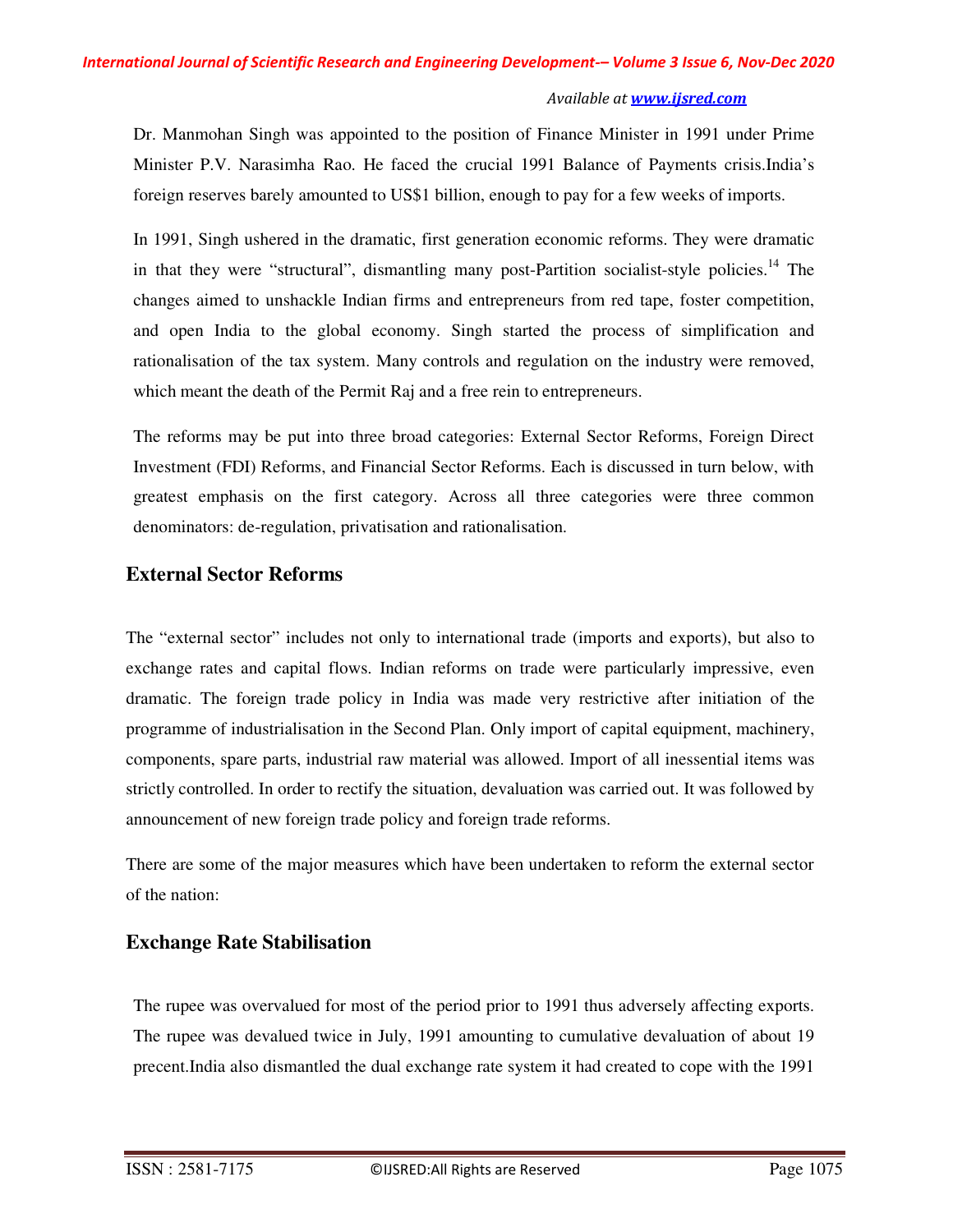Dr. Manmohan Singh was appointed to the position of Finance Minister in 1991 under Prime Minister P.V. Narasimha Rao. He faced the crucial 1991 Balance of Payments crisis.India's foreign reserves barely amounted to US\$1 billion, enough to pay for a few weeks of imports.

In 1991, Singh ushered in the dramatic, first generation economic reforms. They were dramatic in that they were "structural", dismantling many post-Partition socialist-style policies.<sup>14</sup> The changes aimed to unshackle Indian firms and entrepreneurs from red tape, foster competition, and open India to the global economy. Singh started the process of simplification and rationalisation of the tax system. Many controls and regulation on the industry were removed, which meant the death of the Permit Raj and a free rein to entrepreneurs.

The reforms may be put into three broad categories: External Sector Reforms, Foreign Direct Investment (FDI) Reforms, and Financial Sector Reforms. Each is discussed in turn below, with greatest emphasis on the first category. Across all three categories were three common denominators: de-regulation, privatisation and rationalisation.

## **External Sector Reforms**

The "external sector" includes not only to international trade (imports and exports), but also to exchange rates and capital flows. Indian reforms on trade were particularly impressive, even dramatic. The foreign trade policy in India was made very restrictive after initiation of the programme of industrialisation in the Second Plan. Only import of capital equipment, machinery, components, spare parts, industrial raw material was allowed. Import of all inessential items was strictly controlled. In order to rectify the situation, devaluation was carried out. It was followed by announcement of new foreign trade policy and foreign trade reforms.

There are some of the major measures which have been undertaken to reform the external sector of the nation:

# **Exchange Rate Stabilisation**

The rupee was overvalued for most of the period prior to 1991 thus adversely affecting exports. The rupee was devalued twice in July, 1991 amounting to cumulative devaluation of about 19 precent.India also dismantled the dual exchange rate system it had created to cope with the 1991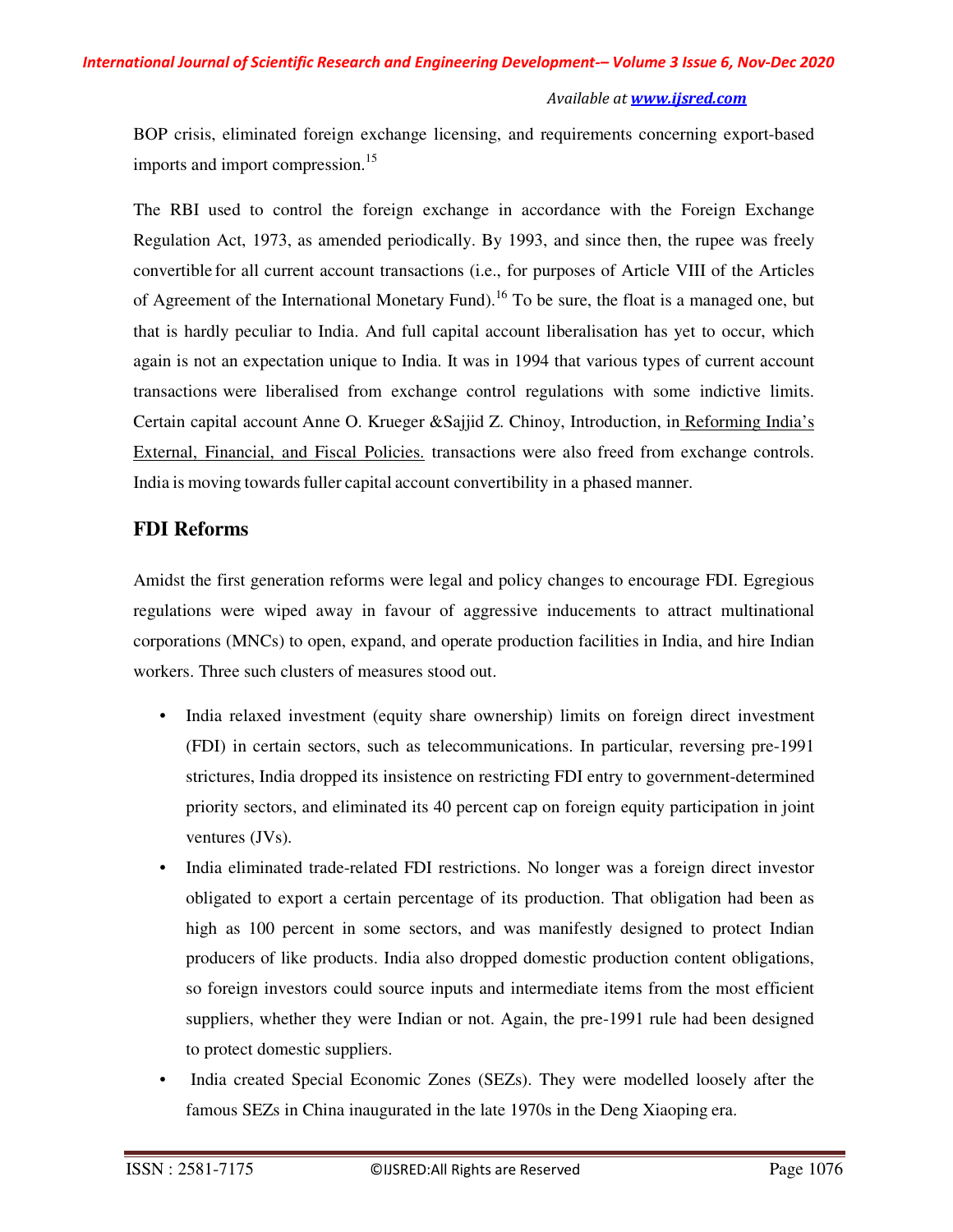BOP crisis, eliminated foreign exchange licensing, and requirements concerning export-based imports and import compression.<sup>15</sup>

The RBI used to control the foreign exchange in accordance with the Foreign Exchange Regulation Act, 1973, as amended periodically. By 1993, and since then, the rupee was freely convertible for all current account transactions (i.e., for purposes of Article VIII of the Articles of Agreement of the International Monetary Fund).<sup>16</sup> To be sure, the float is a managed one, but that is hardly peculiar to India. And full capital account liberalisation has yet to occur, which again is not an expectation unique to India. It was in 1994 that various types of current account transactions were liberalised from exchange control regulations with some indictive limits. Certain capital account Anne O. Krueger &Sajjid Z. Chinoy, Introduction, in Reforming India's External, Financial, and Fiscal Policies. transactions were also freed from exchange controls. India is moving towards fuller capital account convertibility in a phased manner.

# **FDI Reforms**

Amidst the first generation reforms were legal and policy changes to encourage FDI. Egregious regulations were wiped away in favour of aggressive inducements to attract multinational corporations (MNCs) to open, expand, and operate production facilities in India, and hire Indian workers. Three such clusters of measures stood out.

- India relaxed investment (equity share ownership) limits on foreign direct investment (FDI) in certain sectors, such as telecommunications. In particular, reversing pre-1991 strictures, India dropped its insistence on restricting FDI entry to government-determined priority sectors, and eliminated its 40 percent cap on foreign equity participation in joint ventures (JVs).
- India eliminated trade-related FDI restrictions. No longer was a foreign direct investor obligated to export a certain percentage of its production. That obligation had been as high as 100 percent in some sectors, and was manifestly designed to protect Indian producers of like products. India also dropped domestic production content obligations, so foreign investors could source inputs and intermediate items from the most efficient suppliers, whether they were Indian or not. Again, the pre-1991 rule had been designed to protect domestic suppliers.
- India created Special Economic Zones (SEZs). They were modelled loosely after the famous SEZs in China inaugurated in the late 1970s in the Deng Xiaoping era.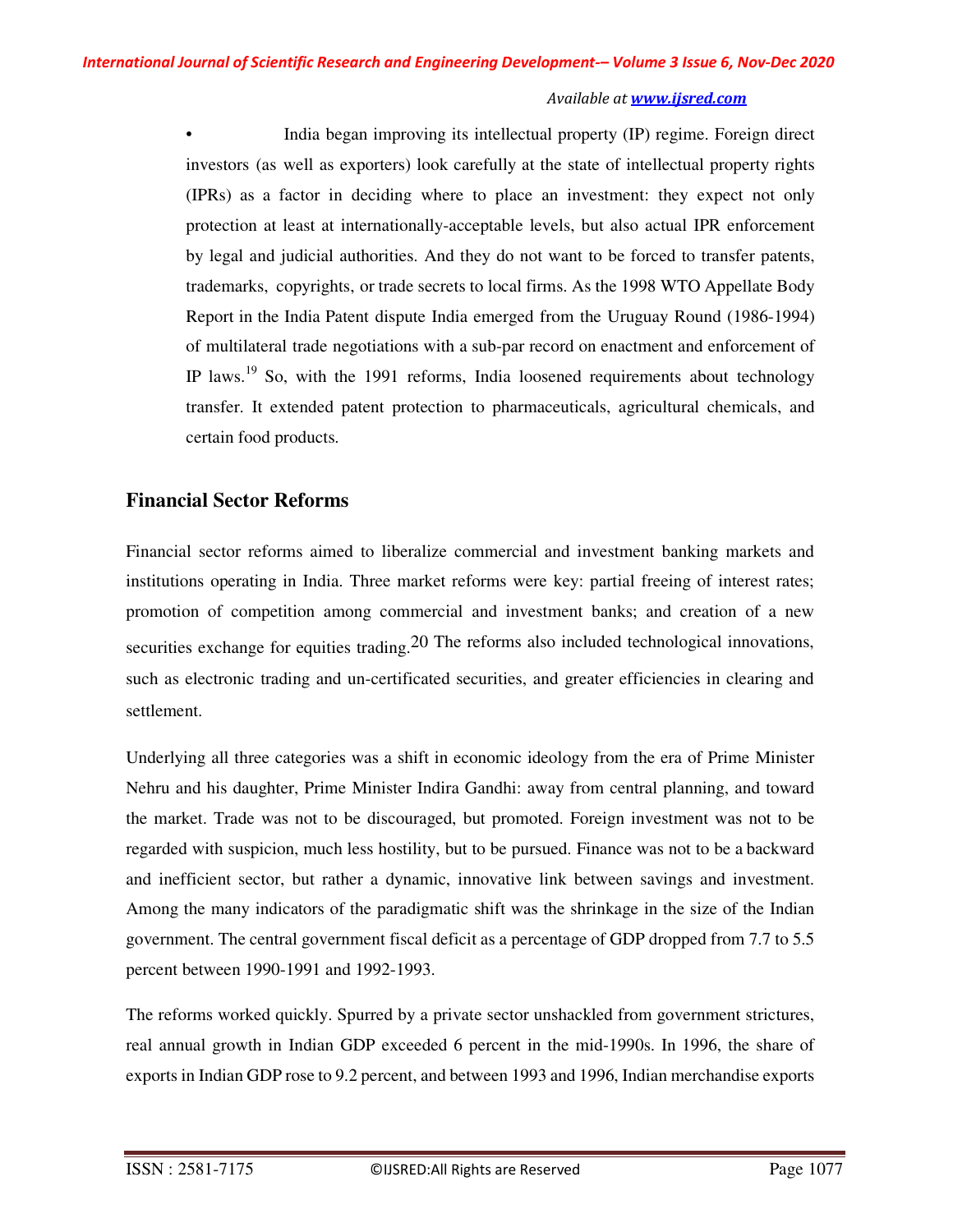• India began improving its intellectual property (IP) regime. Foreign direct investors (as well as exporters) look carefully at the state of intellectual property rights (IPRs) as a factor in deciding where to place an investment: they expect not only protection at least at internationally-acceptable levels, but also actual IPR enforcement by legal and judicial authorities. And they do not want to be forced to transfer patents, trademarks, copyrights, or trade secrets to local firms. As the 1998 WTO Appellate Body Report in the India Patent dispute India emerged from the Uruguay Round (1986-1994) of multilateral trade negotiations with a sub-par record on enactment and enforcement of IP laws.<sup>19</sup> So, with the 1991 reforms, India loosened requirements about technology transfer. It extended patent protection to pharmaceuticals, agricultural chemicals, and certain food products.

# **Financial Sector Reforms**

Financial sector reforms aimed to liberalize commercial and investment banking markets and institutions operating in India. Three market reforms were key: partial freeing of interest rates; promotion of competition among commercial and investment banks; and creation of a new securities exchange for equities trading.20 The reforms also included technological innovations, such as electronic trading and un-certificated securities, and greater efficiencies in clearing and settlement.

Underlying all three categories was a shift in economic ideology from the era of Prime Minister Nehru and his daughter, Prime Minister Indira Gandhi: away from central planning, and toward the market. Trade was not to be discouraged, but promoted. Foreign investment was not to be regarded with suspicion, much less hostility, but to be pursued. Finance was not to be a backward and inefficient sector, but rather a dynamic, innovative link between savings and investment. Among the many indicators of the paradigmatic shift was the shrinkage in the size of the Indian government. The central government fiscal deficit as a percentage of GDP dropped from 7.7 to 5.5 percent between 1990-1991 and 1992-1993.

The reforms worked quickly. Spurred by a private sector unshackled from government strictures, real annual growth in Indian GDP exceeded 6 percent in the mid-1990s. In 1996, the share of exports in Indian GDP rose to 9.2 percent, and between 1993 and 1996, Indian merchandise exports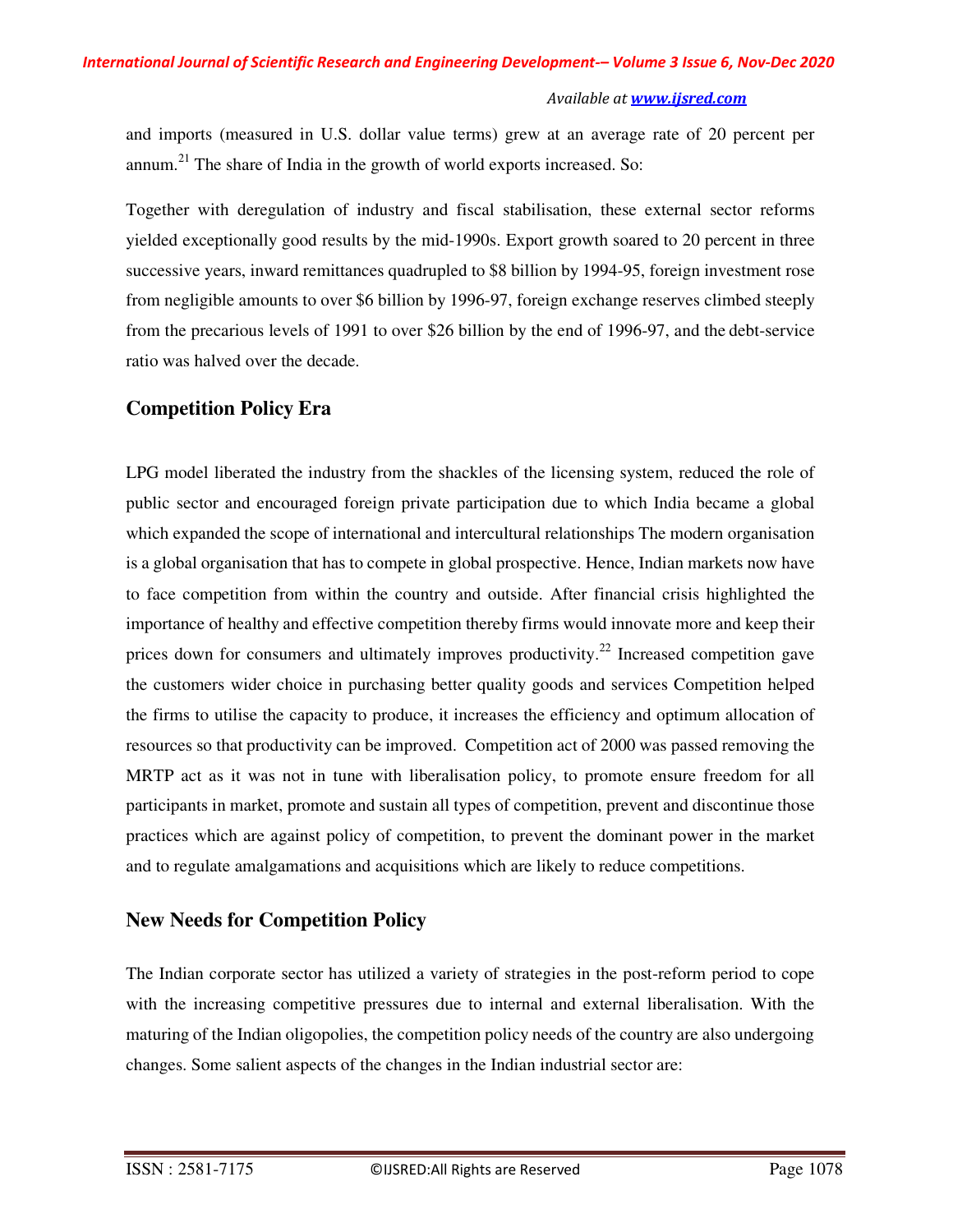and imports (measured in U.S. dollar value terms) grew at an average rate of 20 percent per annum.<sup>21</sup> The share of India in the growth of world exports increased. So:

Together with deregulation of industry and fiscal stabilisation, these external sector reforms yielded exceptionally good results by the mid-1990s. Export growth soared to 20 percent in three successive years, inward remittances quadrupled to \$8 billion by 1994-95, foreign investment rose from negligible amounts to over \$6 billion by 1996-97, foreign exchange reserves climbed steeply from the precarious levels of 1991 to over \$26 billion by the end of 1996-97, and the debt-service ratio was halved over the decade.

# **Competition Policy Era**

LPG model liberated the industry from the shackles of the licensing system, reduced the role of public sector and encouraged foreign private participation due to which India became a global which expanded the scope of international and intercultural relationships The modern organisation is a global organisation that has to compete in global prospective. Hence, Indian markets now have to face competition from within the country and outside. After financial crisis highlighted the importance of healthy and effective competition thereby firms would innovate more and keep their prices down for consumers and ultimately improves productivity.<sup>22</sup> Increased competition gave the customers wider choice in purchasing better quality goods and services Competition helped the firms to utilise the capacity to produce, it increases the efficiency and optimum allocation of resources so that productivity can be improved. Competition act of 2000 was passed removing the MRTP act as it was not in tune with liberalisation policy, to promote ensure freedom for all participants in market, promote and sustain all types of competition, prevent and discontinue those practices which are against policy of competition, to prevent the dominant power in the market and to regulate amalgamations and acquisitions which are likely to reduce competitions.

# **New Needs for Competition Policy**

The Indian corporate sector has utilized a variety of strategies in the post-reform period to cope with the increasing competitive pressures due to internal and external liberalisation. With the maturing of the Indian oligopolies, the competition policy needs of the country are also undergoing changes. Some salient aspects of the changes in the Indian industrial sector are: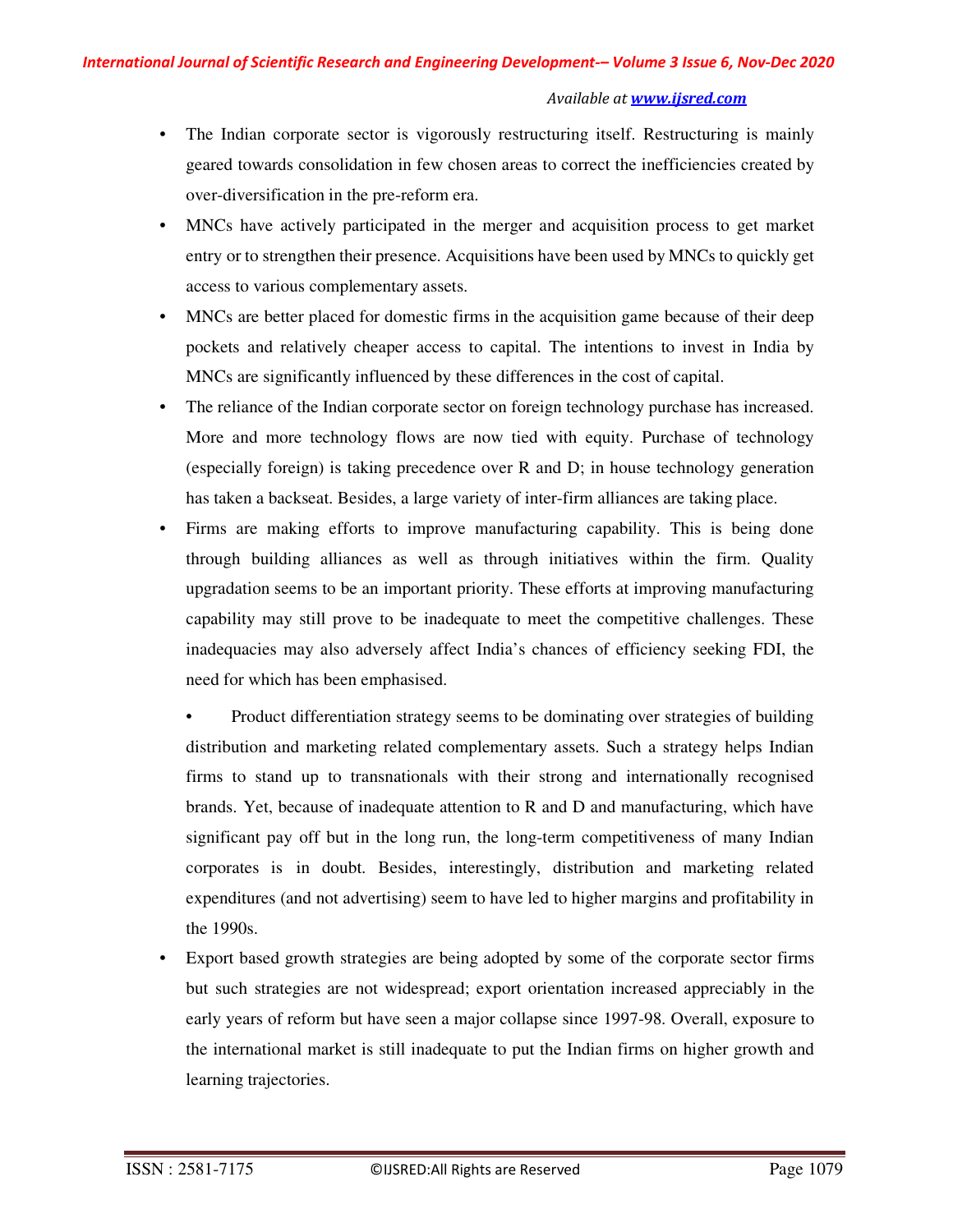- The Indian corporate sector is vigorously restructuring itself. Restructuring is mainly geared towards consolidation in few chosen areas to correct the inefficiencies created by over-diversification in the pre-reform era.
- MNCs have actively participated in the merger and acquisition process to get market entry or to strengthen their presence. Acquisitions have been used by MNCs to quickly get access to various complementary assets.
- MNCs are better placed for domestic firms in the acquisition game because of their deep pockets and relatively cheaper access to capital. The intentions to invest in India by MNCs are significantly influenced by these differences in the cost of capital.
- The reliance of the Indian corporate sector on foreign technology purchase has increased. More and more technology flows are now tied with equity. Purchase of technology (especially foreign) is taking precedence over R and D; in house technology generation has taken a backseat. Besides, a large variety of inter-firm alliances are taking place.
- Firms are making efforts to improve manufacturing capability. This is being done through building alliances as well as through initiatives within the firm. Quality upgradation seems to be an important priority. These efforts at improving manufacturing capability may still prove to be inadequate to meet the competitive challenges. These inadequacies may also adversely affect India's chances of efficiency seeking FDI, the need for which has been emphasised.
	- Product differentiation strategy seems to be dominating over strategies of building distribution and marketing related complementary assets. Such a strategy helps Indian firms to stand up to transnationals with their strong and internationally recognised brands. Yet, because of inadequate attention to R and D and manufacturing, which have significant pay off but in the long run, the long-term competitiveness of many Indian corporates is in doubt. Besides, interestingly, distribution and marketing related expenditures (and not advertising) seem to have led to higher margins and profitability in the 1990s.
- Export based growth strategies are being adopted by some of the corporate sector firms but such strategies are not widespread; export orientation increased appreciably in the early years of reform but have seen a major collapse since 1997-98. Overall, exposure to the international market is still inadequate to put the Indian firms on higher growth and learning trajectories.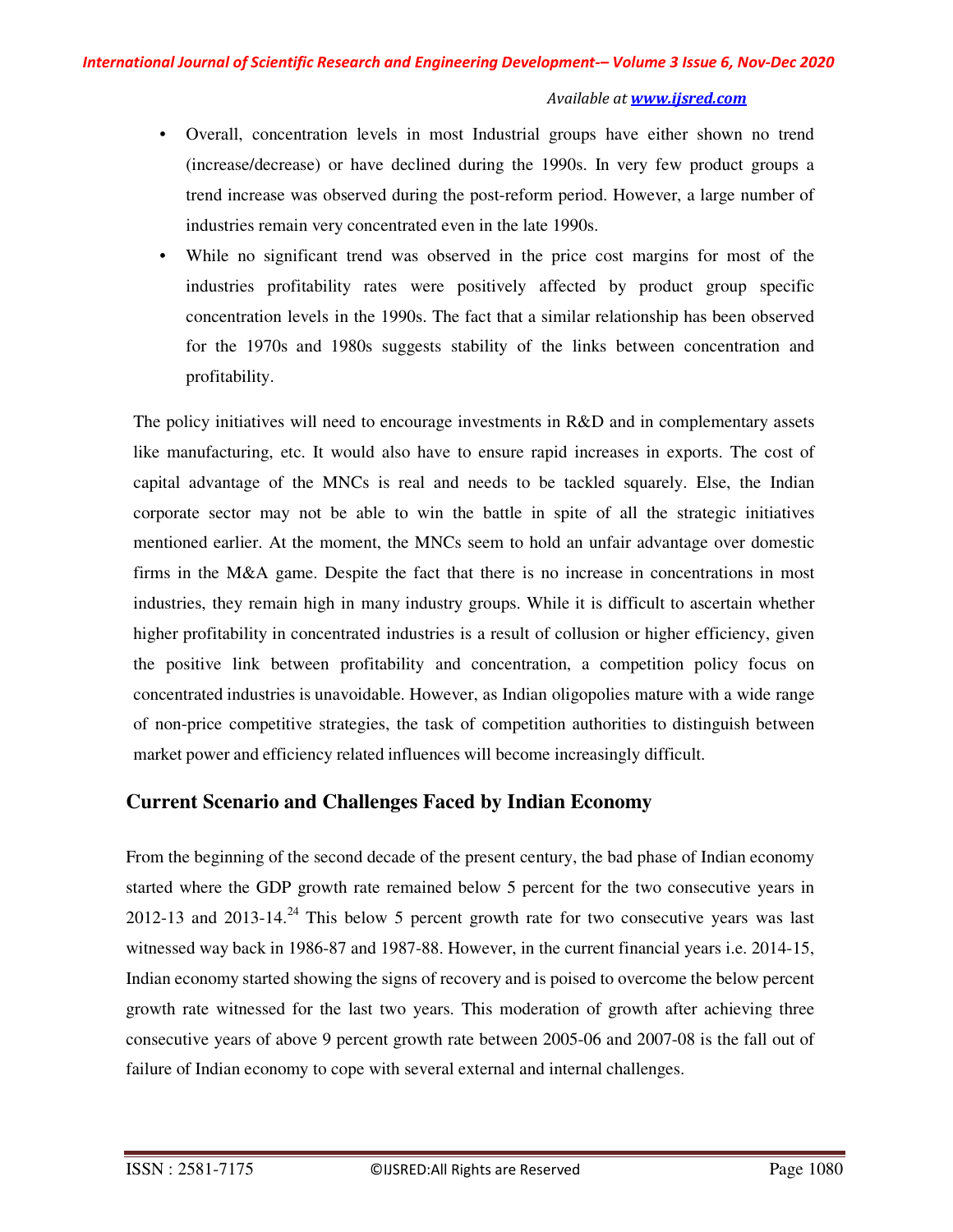- Overall, concentration levels in most Industrial groups have either shown no trend (increase/decrease) or have declined during the 1990s. In very few product groups a trend increase was observed during the post-reform period. However, a large number of industries remain very concentrated even in the late 1990s.
- While no significant trend was observed in the price cost margins for most of the industries profitability rates were positively affected by product group specific concentration levels in the 1990s. The fact that a similar relationship has been observed for the 1970s and 1980s suggests stability of the links between concentration and profitability.

The policy initiatives will need to encourage investments in R&D and in complementary assets like manufacturing, etc. It would also have to ensure rapid increases in exports. The cost of capital advantage of the MNCs is real and needs to be tackled squarely. Else, the Indian corporate sector may not be able to win the battle in spite of all the strategic initiatives mentioned earlier. At the moment, the MNCs seem to hold an unfair advantage over domestic firms in the M&A game. Despite the fact that there is no increase in concentrations in most industries, they remain high in many industry groups. While it is difficult to ascertain whether higher profitability in concentrated industries is a result of collusion or higher efficiency, given the positive link between profitability and concentration, a competition policy focus on concentrated industries is unavoidable. However, as Indian oligopolies mature with a wide range of non-price competitive strategies, the task of competition authorities to distinguish between market power and efficiency related influences will become increasingly difficult.

# **Current Scenario and Challenges Faced by Indian Economy**

From the beginning of the second decade of the present century, the bad phase of Indian economy started where the GDP growth rate remained below 5 percent for the two consecutive years in 2012-13 and 2013-14.<sup>24</sup> This below 5 percent growth rate for two consecutive years was last witnessed way back in 1986-87 and 1987-88. However, in the current financial years i.e. 2014-15, Indian economy started showing the signs of recovery and is poised to overcome the below percent growth rate witnessed for the last two years. This moderation of growth after achieving three consecutive years of above 9 percent growth rate between 2005-06 and 2007-08 is the fall out of failure of Indian economy to cope with several external and internal challenges.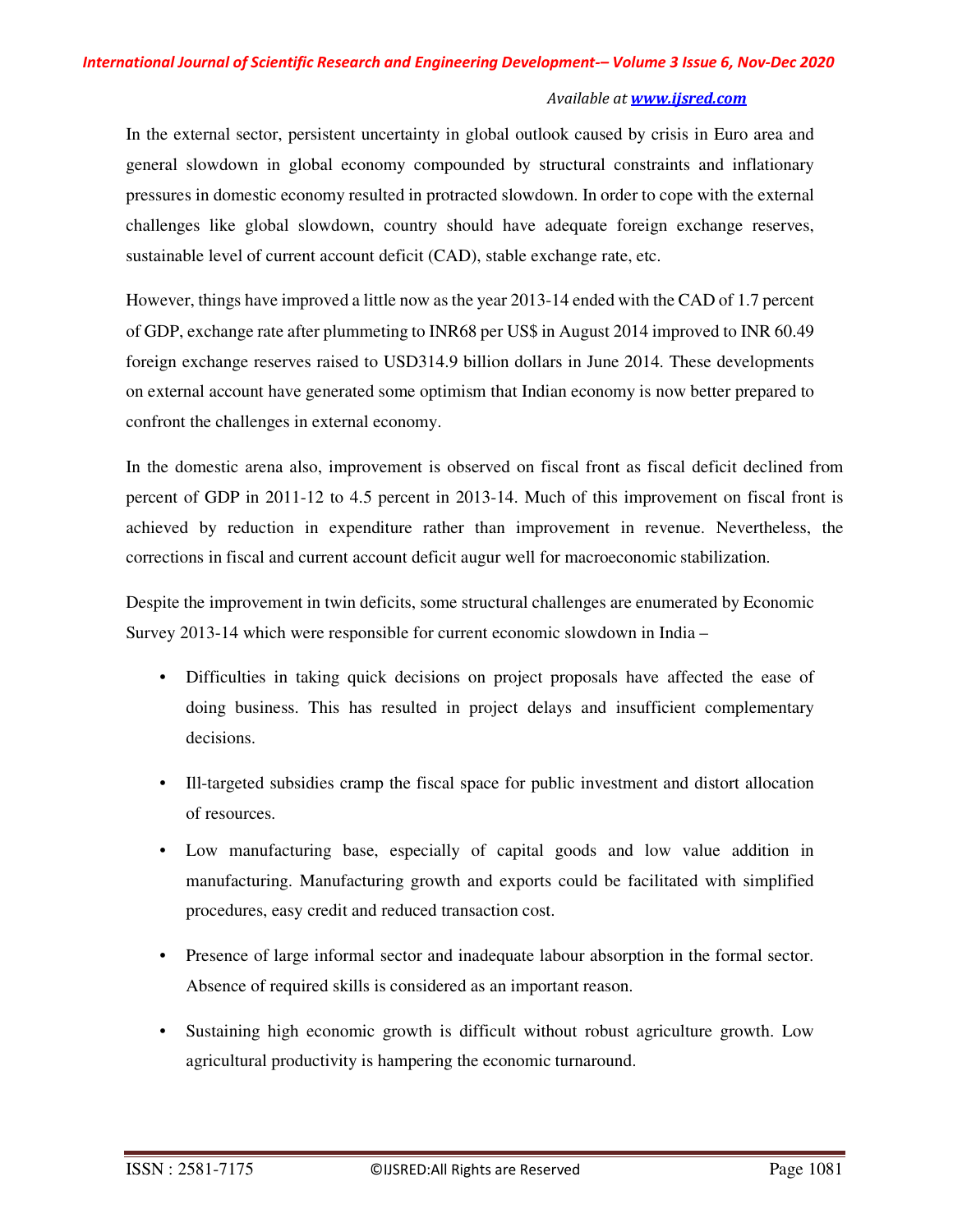In the external sector, persistent uncertainty in global outlook caused by crisis in Euro area and general slowdown in global economy compounded by structural constraints and inflationary pressures in domestic economy resulted in protracted slowdown. In order to cope with the external challenges like global slowdown, country should have adequate foreign exchange reserves, sustainable level of current account deficit (CAD), stable exchange rate, etc.

However, things have improved a little now as the year 2013-14 ended with the CAD of 1.7 percent of GDP, exchange rate after plummeting to INR68 per US\$ in August 2014 improved to INR 60.49 foreign exchange reserves raised to USD314.9 billion dollars in June 2014. These developments on external account have generated some optimism that Indian economy is now better prepared to confront the challenges in external economy.

In the domestic arena also, improvement is observed on fiscal front as fiscal deficit declined from percent of GDP in 2011-12 to 4.5 percent in 2013-14. Much of this improvement on fiscal front is achieved by reduction in expenditure rather than improvement in revenue. Nevertheless, the corrections in fiscal and current account deficit augur well for macroeconomic stabilization.

Despite the improvement in twin deficits, some structural challenges are enumerated by Economic Survey 2013-14 which were responsible for current economic slowdown in India –

- Difficulties in taking quick decisions on project proposals have affected the ease of doing business. This has resulted in project delays and insufficient complementary decisions.
- Ill-targeted subsidies cramp the fiscal space for public investment and distort allocation of resources.
- Low manufacturing base, especially of capital goods and low value addition in manufacturing. Manufacturing growth and exports could be facilitated with simplified procedures, easy credit and reduced transaction cost.
- Presence of large informal sector and inadequate labour absorption in the formal sector. Absence of required skills is considered as an important reason.
- Sustaining high economic growth is difficult without robust agriculture growth. Low agricultural productivity is hampering the economic turnaround.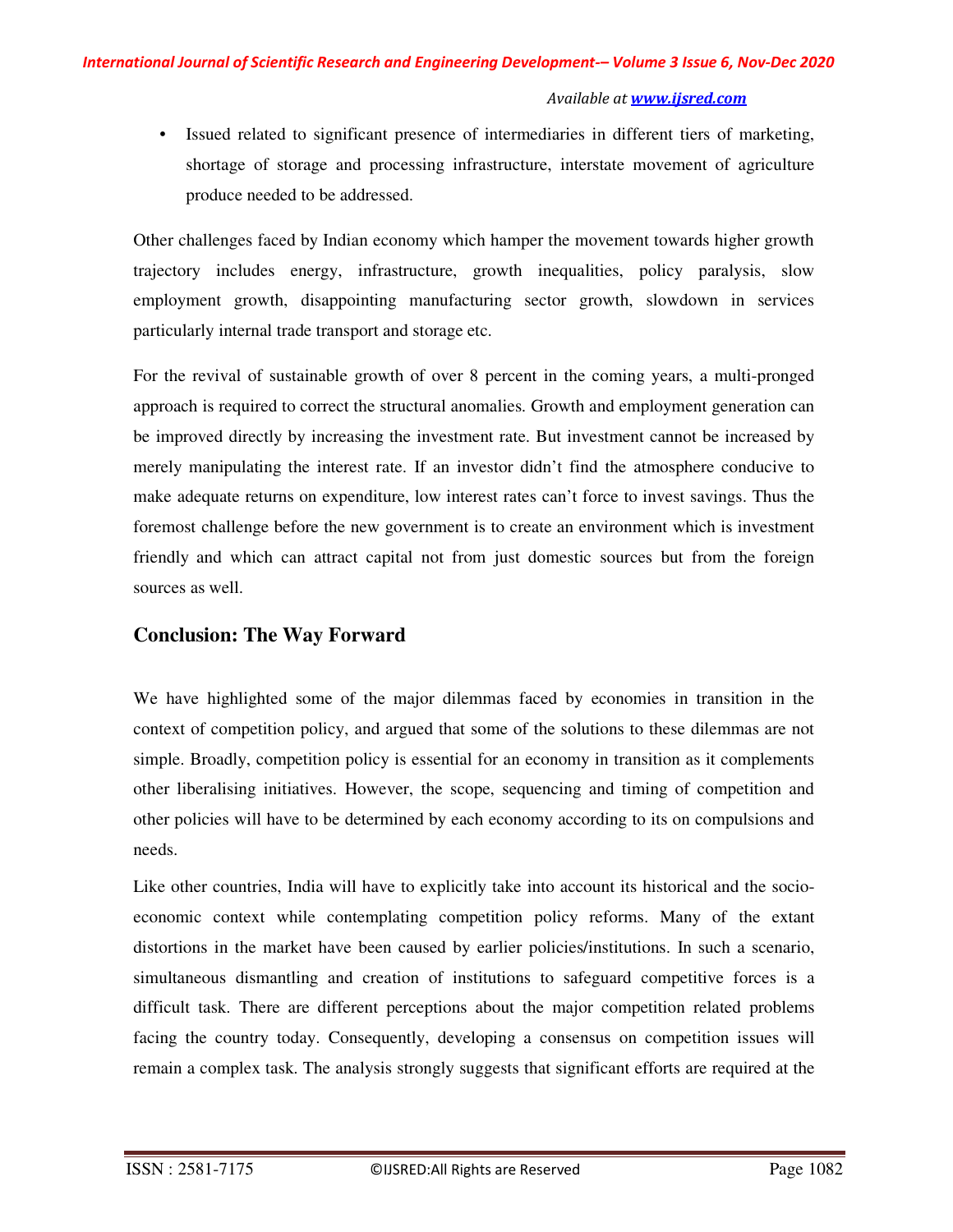• Issued related to significant presence of intermediaries in different tiers of marketing, shortage of storage and processing infrastructure, interstate movement of agriculture produce needed to be addressed.

Other challenges faced by Indian economy which hamper the movement towards higher growth trajectory includes energy, infrastructure, growth inequalities, policy paralysis, slow employment growth, disappointing manufacturing sector growth, slowdown in services particularly internal trade transport and storage etc.

For the revival of sustainable growth of over 8 percent in the coming years, a multi-pronged approach is required to correct the structural anomalies. Growth and employment generation can be improved directly by increasing the investment rate. But investment cannot be increased by merely manipulating the interest rate. If an investor didn't find the atmosphere conducive to make adequate returns on expenditure, low interest rates can't force to invest savings. Thus the foremost challenge before the new government is to create an environment which is investment friendly and which can attract capital not from just domestic sources but from the foreign sources as well.

# **Conclusion: The Way Forward**

We have highlighted some of the major dilemmas faced by economies in transition in the context of competition policy, and argued that some of the solutions to these dilemmas are not simple. Broadly, competition policy is essential for an economy in transition as it complements other liberalising initiatives. However, the scope, sequencing and timing of competition and other policies will have to be determined by each economy according to its on compulsions and needs.

Like other countries, India will have to explicitly take into account its historical and the socioeconomic context while contemplating competition policy reforms. Many of the extant distortions in the market have been caused by earlier policies/institutions. In such a scenario, simultaneous dismantling and creation of institutions to safeguard competitive forces is a difficult task. There are different perceptions about the major competition related problems facing the country today. Consequently, developing a consensus on competition issues will remain a complex task. The analysis strongly suggests that significant efforts are required at the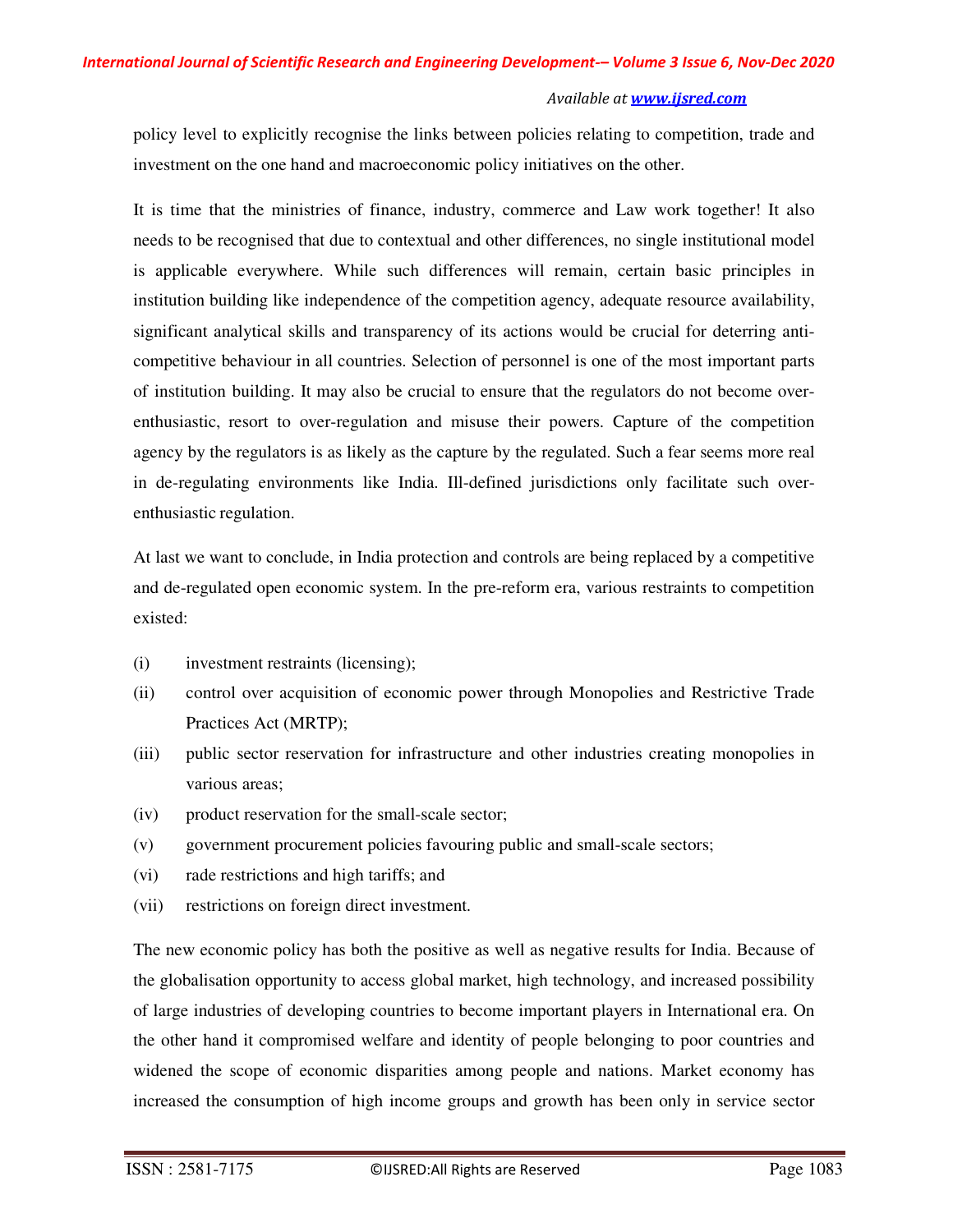policy level to explicitly recognise the links between policies relating to competition, trade and investment on the one hand and macroeconomic policy initiatives on the other.

It is time that the ministries of finance, industry, commerce and Law work together! It also needs to be recognised that due to contextual and other differences, no single institutional model is applicable everywhere. While such differences will remain, certain basic principles in institution building like independence of the competition agency, adequate resource availability, significant analytical skills and transparency of its actions would be crucial for deterring anticompetitive behaviour in all countries. Selection of personnel is one of the most important parts of institution building. It may also be crucial to ensure that the regulators do not become overenthusiastic, resort to over-regulation and misuse their powers. Capture of the competition agency by the regulators is as likely as the capture by the regulated. Such a fear seems more real in de-regulating environments like India. Ill-defined jurisdictions only facilitate such overenthusiastic regulation.

At last we want to conclude, in India protection and controls are being replaced by a competitive and de-regulated open economic system. In the pre-reform era, various restraints to competition existed:

- (i) investment restraints (licensing);
- (ii) control over acquisition of economic power through Monopolies and Restrictive Trade Practices Act (MRTP);
- (iii) public sector reservation for infrastructure and other industries creating monopolies in various areas;
- (iv) product reservation for the small-scale sector;
- (v) government procurement policies favouring public and small-scale sectors;
- (vi) rade restrictions and high tariffs; and
- (vii) restrictions on foreign direct investment.

The new economic policy has both the positive as well as negative results for India. Because of the globalisation opportunity to access global market, high technology, and increased possibility of large industries of developing countries to become important players in International era. On the other hand it compromised welfare and identity of people belonging to poor countries and widened the scope of economic disparities among people and nations. Market economy has increased the consumption of high income groups and growth has been only in service sector